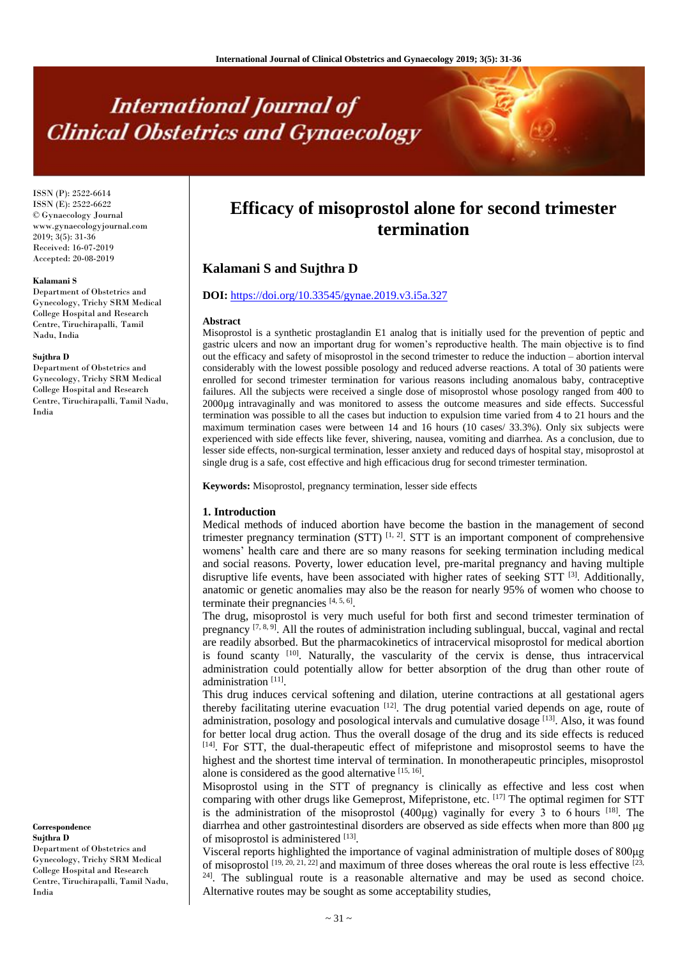# **International Journal of Clinical Obstetrics and Gynaecology**

ISSN (P): 2522-6614 ISSN (E): 2522-6622 © Gynaecology Journal www.gynaecologyjournal.com  $2019$ ;  $3(5)$ ;  $31-36$ Received: 16-07-2019 Accepted: 20-08-2019

#### **Kalamani S**

Department of Obstetrics and Gynecology, Trichy SRM Medical College Hospital and Research Centre, Tiruchirapalli, Tamil Nadu, India

#### **Sujthra D**

Department of Obstetrics and Gynecology, Trichy SRM Medical College Hospital and Research Centre, Tiruchirapalli, Tamil Nadu, India

**Correspondence Sujthra D**

Department of Obstetrics and Gynecology, Trichy SRM Medical College Hospital and Research Centre, Tiruchirapalli, Tamil Nadu, India

## **Efficacy of misoprostol alone for second trimester termination**

### **Kalamani S and Sujthra D**

#### **DOI:** <https://doi.org/10.33545/gynae.2019.v3.i5a.327>

#### **Abstract**

Misoprostol is a synthetic prostaglandin E1 analog that is initially used for the prevention of peptic and gastric ulcers and now an important drug for women's reproductive health. The main objective is to find out the efficacy and safety of misoprostol in the second trimester to reduce the induction – abortion interval considerably with the lowest possible posology and reduced adverse reactions. A total of 30 patients were enrolled for second trimester termination for various reasons including anomalous baby, contraceptive failures. All the subjects were received a single dose of misoprostol whose posology ranged from 400 to 2000µg intravaginally and was monitored to assess the outcome measures and side effects. Successful termination was possible to all the cases but induction to expulsion time varied from 4 to 21 hours and the maximum termination cases were between 14 and 16 hours (10 cases/ 33.3%). Only six subjects were experienced with side effects like fever, shivering, nausea, vomiting and diarrhea. As a conclusion, due to lesser side effects, non-surgical termination, lesser anxiety and reduced days of hospital stay, misoprostol at single drug is a safe, cost effective and high efficacious drug for second trimester termination.

**Keywords:** Misoprostol, pregnancy termination, lesser side effects

#### **1. Introduction**

Medical methods of induced abortion have become the bastion in the management of second trimester pregnancy termination  $(STT)$  [1, 2]. STT is an important component of comprehensive womens' health care and there are so many reasons for seeking termination including medical and social reasons. Poverty, lower education level, pre-marital pregnancy and having multiple disruptive life events, have been associated with higher rates of seeking STT [3]. Additionally, anatomic or genetic anomalies may also be the reason for nearly 95% of women who choose to terminate their pregnancies  $[4, 5, 6]$ .

The drug, misoprostol is very much useful for both first and second trimester termination of pregnancy  $[7, 8, 9]$ . All the routes of administration including sublingual, buccal, vaginal and rectal are readily absorbed. But the pharmacokinetics of intracervical misoprostol for medical abortion is found scanty [10]. Naturally, the vascularity of the cervix is dense, thus intracervical administration could potentially allow for better absorption of the drug than other route of administration<sup>[11]</sup>.

This drug induces cervical softening and dilation, uterine contractions at all gestational agers thereby facilitating uterine evacuation  $[12]$ . The drug potential varied depends on age, route of administration, posology and posological intervals and cumulative dosage [13]. Also, it was found for better local drug action. Thus the overall dosage of the drug and its side effects is reduced [14]. For STT, the dual-therapeutic effect of mifepristone and misoprostol seems to have the highest and the shortest time interval of termination. In monotherapeutic principles, misoprostol alone is considered as the good alternative [15, 16].

Misoprostol using in the STT of pregnancy is clinically as effective and less cost when comparing with other drugs like Gemeprost, Mifepristone, etc.  $^{[17]}$  The optimal regimen for STT is the administration of the misoprostol  $(400\mu g)$  vaginally for every 3 to 6 hours <sup>[18]</sup>. The diarrhea and other gastrointestinal disorders are observed as side effects when more than 800 μg of misoprostol is administered [13].

Visceral reports highlighted the importance of vaginal administration of multiple doses of 800μg of misoprostol  $^{[19, 20, 21, 22]}$  and maximum of three doses whereas the oral route is less effective  $^{[23, 21, 22]}$ <sup>24]</sup>. The sublingual route is a reasonable alternative and may be used as second choice. Alternative routes may be sought as some acceptability studies,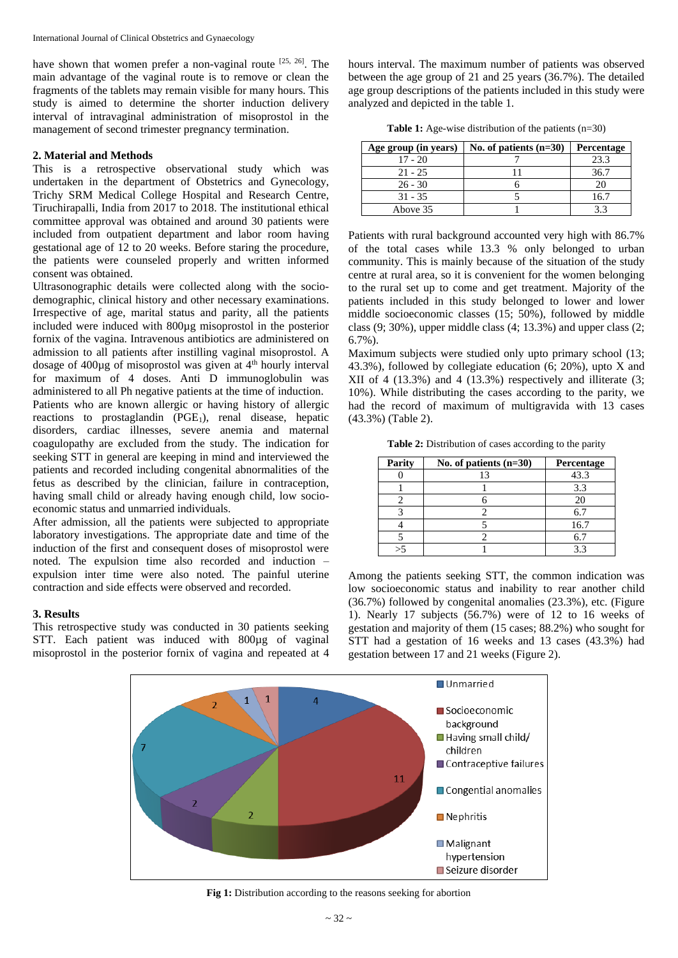have shown that women prefer a non-vaginal route  $[25, 26]$ . The main advantage of the vaginal route is to remove or clean the fragments of the tablets may remain visible for many hours. This study is aimed to determine the shorter induction delivery interval of intravaginal administration of misoprostol in the management of second trimester pregnancy termination.

#### **2. Material and Methods**

This is a retrospective observational study which was undertaken in the department of Obstetrics and Gynecology, Trichy SRM Medical College Hospital and Research Centre, Tiruchirapalli, India from 2017 to 2018. The institutional ethical committee approval was obtained and around 30 patients were included from outpatient department and labor room having gestational age of 12 to 20 weeks. Before staring the procedure, the patients were counseled properly and written informed consent was obtained.

Ultrasonographic details were collected along with the sociodemographic, clinical history and other necessary examinations. Irrespective of age, marital status and parity, all the patients included were induced with 800µg misoprostol in the posterior fornix of the vagina. Intravenous antibiotics are administered on admission to all patients after instilling vaginal misoprostol. A dosage of  $400\mu$ g of misoprostol was given at  $4<sup>th</sup>$  hourly interval for maximum of 4 doses. Anti D immunoglobulin was administered to all Ph negative patients at the time of induction. Patients who are known allergic or having history of allergic reactions to prostaglandin  $(PGE<sub>1</sub>)$ , renal disease, hepatic disorders, cardiac illnesses, severe anemia and maternal coagulopathy are excluded from the study. The indication for seeking STT in general are keeping in mind and interviewed the patients and recorded including congenital abnormalities of the fetus as described by the clinician, failure in contraception, having small child or already having enough child, low socioeconomic status and unmarried individuals.

After admission, all the patients were subjected to appropriate laboratory investigations. The appropriate date and time of the induction of the first and consequent doses of misoprostol were noted. The expulsion time also recorded and induction – expulsion inter time were also noted. The painful uterine contraction and side effects were observed and recorded.

#### **3. Results**

This retrospective study was conducted in 30 patients seeking STT. Each patient was induced with 800µg of vaginal misoprostol in the posterior fornix of vagina and repeated at 4

hours interval. The maximum number of patients was observed between the age group of 21 and 25 years (36.7%). The detailed age group descriptions of the patients included in this study were analyzed and depicted in the table 1.

**Table 1:** Age-wise distribution of the patients (n=30)

| Age group (in years) | No. of patients $(n=30)$ | <b>Percentage</b> |
|----------------------|--------------------------|-------------------|
| $17 - 20$            |                          | 23.3              |
| $21 - 25$            |                          | 36.7              |
| $26 - 30$            |                          |                   |
| $31 - 35$            |                          | 16.7              |
| Above 35             |                          |                   |

Patients with rural background accounted very high with 86.7% of the total cases while 13.3 % only belonged to urban community. This is mainly because of the situation of the study centre at rural area, so it is convenient for the women belonging to the rural set up to come and get treatment. Majority of the patients included in this study belonged to lower and lower middle socioeconomic classes (15; 50%), followed by middle class (9; 30%), upper middle class (4; 13.3%) and upper class (2; 6.7%).

Maximum subjects were studied only upto primary school (13; 43.3%), followed by collegiate education (6; 20%), upto X and XII of 4 (13.3%) and 4 (13.3%) respectively and illiterate (3; 10%). While distributing the cases according to the parity, we had the record of maximum of multigravida with 13 cases (43.3%) (Table 2).

**Table 2:** Distribution of cases according to the parity

| Parity | No. of patients $(n=30)$ | Percentage |
|--------|--------------------------|------------|
|        |                          | 43.3       |
|        |                          | 3.3        |
|        |                          |            |
|        |                          | 6.7        |
|        |                          | 16.7       |
|        |                          |            |
|        |                          |            |

Among the patients seeking STT, the common indication was low socioeconomic status and inability to rear another child (36.7%) followed by congenital anomalies (23.3%), etc. (Figure 1). Nearly 17 subjects (56.7%) were of 12 to 16 weeks of gestation and majority of them (15 cases; 88.2%) who sought for STT had a gestation of 16 weeks and 13 cases (43.3%) had gestation between 17 and 21 weeks (Figure 2).



**Fig 1:** Distribution according to the reasons seeking for abortion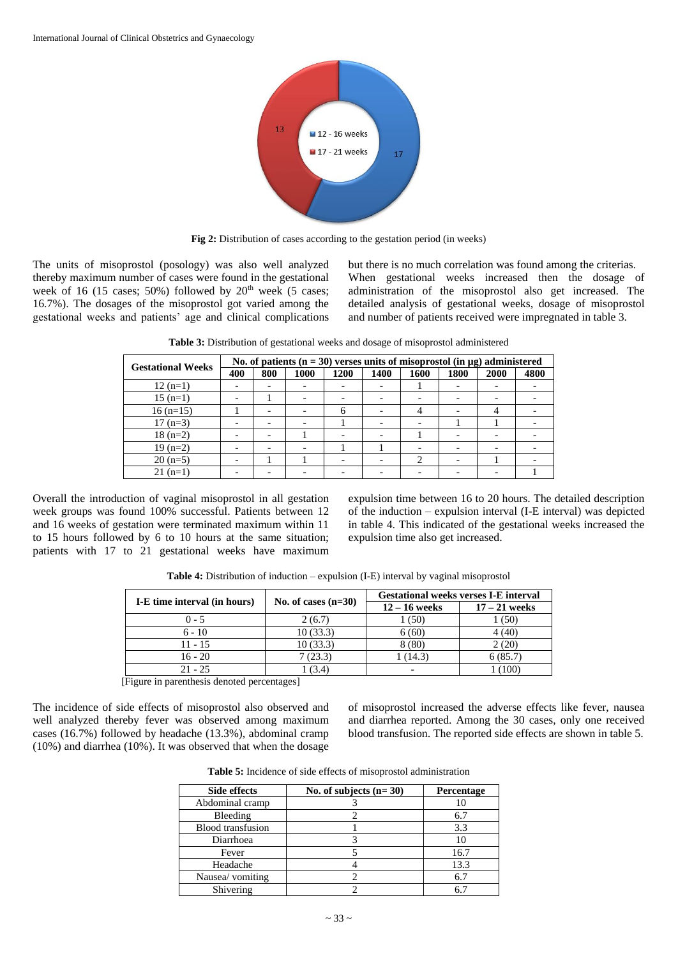

**Fig 2:** Distribution of cases according to the gestation period (in weeks)

The units of misoprostol (posology) was also well analyzed thereby maximum number of cases were found in the gestational week of 16 (15 cases;  $50\%$ ) followed by  $20<sup>th</sup>$  week (5 cases; 16.7%). The dosages of the misoprostol got varied among the gestational weeks and patients' age and clinical complications but there is no much correlation was found among the criterias. When gestational weeks increased then the dosage of administration of the misoprostol also get increased. The detailed analysis of gestational weeks, dosage of misoprostol and number of patients received were impregnated in table 3.

| <b>Gestational Weeks</b> | No. of patients $(n = 30)$ verses units of misoprostol (in $\mu$ g) administered |                          |      |      |      |      |      |      |      |
|--------------------------|----------------------------------------------------------------------------------|--------------------------|------|------|------|------|------|------|------|
|                          | 400                                                                              | 800                      | 1000 | 1200 | 1400 | 1600 | 1800 | 2000 | 4800 |
| $12(n=1)$                |                                                                                  | -                        |      |      |      |      |      |      |      |
| $15(n=1)$                |                                                                                  |                          |      |      |      |      |      |      |      |
| $16(n=15)$               |                                                                                  | -                        |      | 6    |      |      |      |      |      |
| $17(n=3)$                |                                                                                  | -                        |      |      |      |      |      |      |      |
| $18(n=2)$                |                                                                                  | $\overline{\phantom{0}}$ |      |      |      |      |      |      |      |
| $19(n=2)$                |                                                                                  | -                        |      |      |      |      |      |      |      |
| $20(n=5)$                |                                                                                  |                          |      |      |      |      |      |      |      |

21 (n=1)  $\begin{vmatrix} - & - & - & - \\ - & - & - \end{vmatrix}$  -  $\begin{vmatrix} - & - & - \\ - & - & - \end{vmatrix}$  -  $\begin{vmatrix} - & - & - \\ - & - & 1 \end{vmatrix}$ 

**Table 3:** Distribution of gestational weeks and dosage of misoprostol administered

Overall the introduction of vaginal misoprostol in all gestation week groups was found 100% successful. Patients between 12 and 16 weeks of gestation were terminated maximum within 11 to 15 hours followed by 6 to 10 hours at the same situation; patients with 17 to 21 gestational weeks have maximum expulsion time between 16 to 20 hours. The detailed description of the induction – expulsion interval (I-E interval) was depicted in table 4. This indicated of the gestational weeks increased the expulsion time also get increased.

| I-E time interval (in hours) |                       | <b>Gestational weeks verses I-E interval</b> |                 |  |  |
|------------------------------|-----------------------|----------------------------------------------|-----------------|--|--|
|                              | No. of cases $(n=30)$ | $12 - 16$ weeks                              | $17 - 21$ weeks |  |  |
| $0 - 5$                      | 2(6.7)                | (50)                                         | (50)            |  |  |
| $6 - 10$                     | 10(33.3)              | 6(60)                                        | 4 (40)          |  |  |
| $11 - 15$                    | 10(33.3)              | 8(80)                                        | 2(20)           |  |  |
| $16 - 20$                    | 7(23.3)               | 1 (14.3)                                     | 6(85.7)         |  |  |
| $21 - 25$                    | (3.4)                 | -                                            | (100            |  |  |

**Table 4:** Distribution of induction – expulsion (I-E) interval by vaginal misoprostol

[Figure in parenthesis denoted percentages]

The incidence of side effects of misoprostol also observed and well analyzed thereby fever was observed among maximum cases (16.7%) followed by headache (13.3%), abdominal cramp (10%) and diarrhea (10%). It was observed that when the dosage of misoprostol increased the adverse effects like fever, nausea and diarrhea reported. Among the 30 cases, only one received blood transfusion. The reported side effects are shown in table 5.

| <b>Side effects</b>      | No. of subjects $(n=30)$ | <b>Percentage</b> |
|--------------------------|--------------------------|-------------------|
| Abdominal cramp          |                          |                   |
| Bleeding                 |                          | 6.7               |
| <b>Blood</b> transfusion |                          | 3.3               |
| Diarrhoea                |                          | 10                |
| Fever                    |                          | 16.7              |
| Headache                 |                          | 13.3              |
| Nausea/ vomiting         |                          | 6.7               |
| Shivering                |                          | 67                |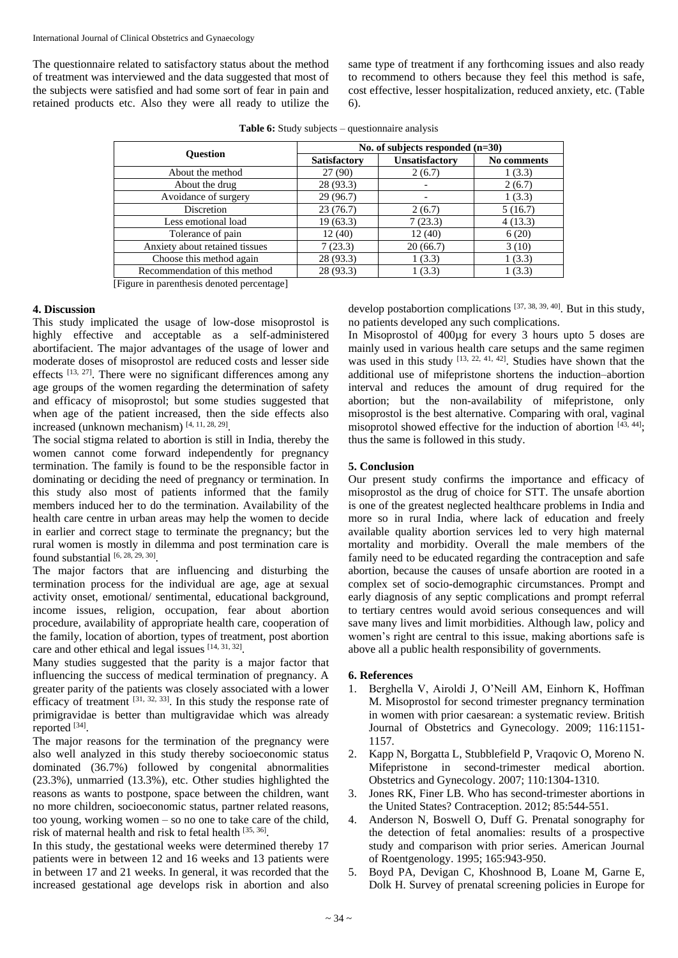The questionnaire related to satisfactory status about the method of treatment was interviewed and the data suggested that most of the subjects were satisfied and had some sort of fear in pain and retained products etc. Also they were all ready to utilize the

same type of treatment if any forthcoming issues and also ready to recommend to others because they feel this method is safe, cost effective, lesser hospitalization, reduced anxiety, etc. (Table 6).

|                                | No. of subjects responded $(n=30)$ |                |             |  |  |
|--------------------------------|------------------------------------|----------------|-------------|--|--|
| <b>Ouestion</b>                | <b>Satisfactory</b>                | Unsatisfactory | No comments |  |  |
| About the method               | 27(90)                             | 2(6.7)         | 1(3.3)      |  |  |
| About the drug                 | 28 (93.3)                          | -              | 2(6.7)      |  |  |
| Avoidance of surgery           | 29 (96.7)                          | -              | 1(3.3)      |  |  |
| Discretion                     | 23(76.7)                           | 2(6.7)         | 5(16.7)     |  |  |
| Less emotional load            | 19(63.3)                           | 7(23.3)        | 4(13.3)     |  |  |
| Tolerance of pain              | 12(40)                             | 12(40)         | 6(20)       |  |  |
| Anxiety about retained tissues | 7(23.3)                            | 20(66.7)       | 3(10)       |  |  |
| Choose this method again       | 28 (93.3)                          | 1(3.3)         | 1(3.3)      |  |  |
| Recommendation of this method  | 28 (93.3)                          | 1(3.3)         | 1(3.3)      |  |  |

**Table 6:** Study subjects – questionnaire analysis

[Figure in parenthesis denoted percentage]

#### **4. Discussion**

This study implicated the usage of low-dose misoprostol is highly effective and acceptable as a self-administered abortifacient. The major advantages of the usage of lower and moderate doses of misoprostol are reduced costs and lesser side effects [13, 27]. There were no significant differences among any age groups of the women regarding the determination of safety and efficacy of misoprostol; but some studies suggested that when age of the patient increased, then the side effects also increased (unknown mechanism) [4, 11, 28, 29] .

The social stigma related to abortion is still in India, thereby the women cannot come forward independently for pregnancy termination. The family is found to be the responsible factor in dominating or deciding the need of pregnancy or termination. In this study also most of patients informed that the family members induced her to do the termination. Availability of the health care centre in urban areas may help the women to decide in earlier and correct stage to terminate the pregnancy; but the rural women is mostly in dilemma and post termination care is found substantial  $[6, 28, 29, 30]$ .

The major factors that are influencing and disturbing the termination process for the individual are age, age at sexual activity onset, emotional/ sentimental, educational background, income issues, religion, occupation, fear about abortion procedure, availability of appropriate health care, cooperation of the family, location of abortion, types of treatment, post abortion care and other ethical and legal issues [14, 31, 32].

Many studies suggested that the parity is a major factor that influencing the success of medical termination of pregnancy. A greater parity of the patients was closely associated with a lower efficacy of treatment  $[31, 32, 33]$ . In this study the response rate of primigravidae is better than multigravidae which was already reported [34].

The major reasons for the termination of the pregnancy were also well analyzed in this study thereby socioeconomic status dominated (36.7%) followed by congenital abnormalities (23.3%), unmarried (13.3%), etc. Other studies highlighted the reasons as wants to postpone, space between the children, want no more children, socioeconomic status, partner related reasons, too young, working women – so no one to take care of the child, risk of maternal health and risk to fetal health [35, 36].

In this study, the gestational weeks were determined thereby 17 patients were in between 12 and 16 weeks and 13 patients were in between 17 and 21 weeks. In general, it was recorded that the increased gestational age develops risk in abortion and also

develop postabortion complications [37, 38, 39, 40] . But in this study, no patients developed any such complications.

In Misoprostol of 400µg for every 3 hours upto 5 doses are mainly used in various health care setups and the same regimen was used in this study  $[13, 22, 41, 42]$ . Studies have shown that the additional use of mifepristone shortens the induction–abortion interval and reduces the amount of drug required for the abortion; but the non-availability of mifepristone, only misoprostol is the best alternative. Comparing with oral, vaginal misoprotol showed effective for the induction of abortion  $[43, 44]$ ; thus the same is followed in this study.

#### **5. Conclusion**

Our present study confirms the importance and efficacy of misoprostol as the drug of choice for STT. The unsafe abortion is one of the greatest neglected healthcare problems in India and more so in rural India, where lack of education and freely available quality abortion services led to very high maternal mortality and morbidity. Overall the male members of the family need to be educated regarding the contraception and safe abortion, because the causes of unsafe abortion are rooted in a complex set of socio-demographic circumstances. Prompt and early diagnosis of any septic complications and prompt referral to tertiary centres would avoid serious consequences and will save many lives and limit morbidities. Although law, policy and women's right are central to this issue, making abortions safe is above all a public health responsibility of governments.

#### **6. References**

- 1. Berghella V, Airoldi J, O'Neill AM, Einhorn K, Hoffman M. Misoprostol for second trimester pregnancy termination in women with prior caesarean: a systematic review. British Journal of Obstetrics and Gynecology. 2009; 116:1151- 1157.
- 2. Kapp N, Borgatta L, Stubblefield P, Vraqovic O, Moreno N. Mifepristone in second-trimester medical abortion. Obstetrics and Gynecology. 2007; 110:1304-1310.
- 3. Jones RK, Finer LB. Who has second-trimester abortions in the United States? Contraception. 2012; 85:544-551.
- 4. Anderson N, Boswell O, Duff G. Prenatal sonography for the detection of fetal anomalies: results of a prospective study and comparison with prior series. American Journal of Roentgenology. 1995; 165:943-950.
- 5. Boyd PA, Devigan C, Khoshnood B, Loane M, Garne E, Dolk H. Survey of prenatal screening policies in Europe for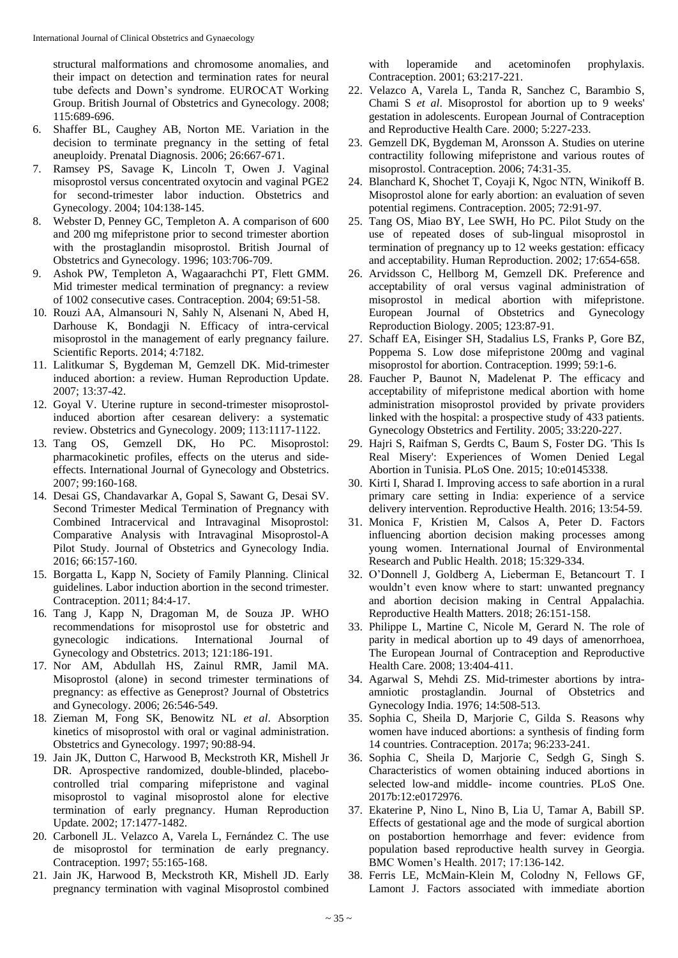structural malformations and chromosome anomalies, and their impact on detection and termination rates for neural tube defects and Down's syndrome. EUROCAT Working Group. British Journal of Obstetrics and Gynecology. 2008; 115:689-696.

- 6. Shaffer BL, Caughey AB, Norton ME. Variation in the decision to terminate pregnancy in the setting of fetal aneuploidy. Prenatal Diagnosis. 2006; 26:667-671.
- 7. Ramsey PS, Savage K, Lincoln T, Owen J. Vaginal misoprostol versus concentrated oxytocin and vaginal PGE2 for second-trimester labor induction. Obstetrics and Gynecology. 2004; 104:138-145.
- 8. Webster D, Penney GC, Templeton A. A comparison of 600 and 200 mg mifepristone prior to second trimester abortion with the prostaglandin misoprostol. British Journal of Obstetrics and Gynecology. 1996; 103:706-709.
- 9. Ashok PW, Templeton A, Wagaarachchi PT, Flett GMM. Mid trimester medical termination of pregnancy: a review of 1002 consecutive cases. Contraception. 2004; 69:51-58.
- 10. Rouzi AA, Almansouri N, Sahly N, Alsenani N, Abed H, Darhouse K, Bondagji N. Efficacy of intra-cervical misoprostol in the management of early pregnancy failure. Scientific Reports. 2014; 4:7182.
- 11. Lalitkumar S, Bygdeman M, Gemzell DK. Mid-trimester induced abortion: a review. Human Reproduction Update. 2007; 13:37-42.
- 12. Goyal V. Uterine rupture in second-trimester misoprostolinduced abortion after cesarean delivery: a systematic review. Obstetrics and Gynecology. 2009; 113:1117-1122.
- 13. Tang OS, Gemzell DK, Ho PC. Misoprostol: pharmacokinetic profiles, effects on the uterus and sideeffects. International Journal of Gynecology and Obstetrics. 2007; 99:160-168.
- 14. Desai GS, Chandavarkar A, Gopal S, Sawant G, Desai SV. Second Trimester Medical Termination of Pregnancy with Combined Intracervical and Intravaginal Misoprostol: Comparative Analysis with Intravaginal Misoprostol-A Pilot Study. Journal of Obstetrics and Gynecology India. 2016; 66:157-160.
- 15. Borgatta L, Kapp N, Society of Family Planning. Clinical guidelines. Labor induction abortion in the second trimester. Contraception. 2011; 84:4-17.
- 16. Tang J, Kapp N, Dragoman M, de Souza JP. WHO recommendations for misoprostol use for obstetric and gynecologic indications. International Journal of Gynecology and Obstetrics. 2013; 121:186-191.
- 17. Nor AM, Abdullah HS, Zainul RMR, Jamil MA. Misoprostol (alone) in second trimester terminations of pregnancy: as effective as Geneprost? Journal of Obstetrics and Gynecology. 2006; 26:546-549.
- 18. Zieman M, Fong SK, Benowitz NL *et al*. Absorption kinetics of misoprostol with oral or vaginal administration. Obstetrics and Gynecology. 1997; 90:88-94.
- 19. Jain JK, Dutton C, Harwood B, Meckstroth KR, Mishell Jr DR. Aprospective randomized, double-blinded, placebocontrolled trial comparing mifepristone and vaginal misoprostol to vaginal misoprostol alone for elective termination of early pregnancy. Human Reproduction Update. 2002; 17:1477-1482.
- 20. Carbonell JL. Velazco A, Varela L, Fernández C. The use de misoprostol for termination de early pregnancy. Contraception. 1997; 55:165-168.
- 21. Jain JK, Harwood B, Meckstroth KR, Mishell JD. Early pregnancy termination with vaginal Misoprostol combined

with loperamide and acetominofen prophylaxis. Contraception. 2001; 63:217-221.

- 22. Velazco A, Varela L, Tanda R, Sanchez C, Barambio S, Chami S *et al*. Misoprostol for abortion up to 9 weeks' gestation in adolescents. European Journal of Contraception and Reproductive Health Care. 2000; 5:227-233.
- 23. Gemzell DK, Bygdeman M, Aronsson A. Studies on uterine contractility following mifepristone and various routes of misoprostol. Contraception. 2006; 74:31-35.
- 24. Blanchard K, Shochet T, Coyaji K, Ngoc NTN, Winikoff B. Misoprostol alone for early abortion: an evaluation of seven potential regimens. Contraception. 2005; 72:91-97.
- 25. Tang OS, Miao BY, Lee SWH, Ho PC. Pilot Study on the use of repeated doses of sub-lingual misoprostol in termination of pregnancy up to 12 weeks gestation: efficacy and acceptability. Human Reproduction. 2002; 17:654-658.
- 26. Arvidsson C, Hellborg M, Gemzell DK. Preference and acceptability of oral versus vaginal administration of misoprostol in medical abortion with mifepristone. European Journal of Obstetrics and Gynecology Reproduction Biology. 2005; 123:87-91.
- 27. Schaff EA, Eisinger SH, Stadalius LS, Franks P, Gore BZ, Poppema S. Low dose mifepristone 200mg and vaginal misoprostol for abortion. Contraception. 1999; 59:1-6.
- 28. Faucher P, Baunot N, Madelenat P. The efficacy and acceptability of mifepristone medical abortion with home administration misoprostol provided by private providers linked with the hospital: a prospective study of 433 patients. Gynecology Obstetrics and Fertility. 2005; 33:220-227.
- 29. Hajri S, Raifman S, Gerdts C, Baum S, Foster DG. 'This Is Real Misery': Experiences of Women Denied Legal Abortion in Tunisia. PLoS One. 2015; 10:e0145338.
- 30. Kirti I, Sharad I. Improving access to safe abortion in a rural primary care setting in India: experience of a service delivery intervention. Reproductive Health. 2016; 13:54-59.
- 31. Monica F, Kristien M, Calsos A, Peter D. Factors influencing abortion decision making processes among young women. International Journal of Environmental Research and Public Health. 2018; 15:329-334.
- 32. O'Donnell J, Goldberg A, Lieberman E, Betancourt T. I wouldn't even know where to start: unwanted pregnancy and abortion decision making in Central Appalachia. Reproductive Health Matters. 2018; 26:151-158.
- 33. Philippe L, Martine C, Nicole M, Gerard N. The role of parity in medical abortion up to 49 days of amenorrhoea, The European Journal of Contraception and Reproductive Health Care. 2008; 13:404-411.
- 34. Agarwal S, Mehdi ZS. Mid-trimester abortions by intraamniotic prostaglandin. Journal of Obstetrics and Gynecology India. 1976; 14:508-513.
- 35. Sophia C, Sheila D, Marjorie C, Gilda S. Reasons why women have induced abortions: a synthesis of finding form 14 countries. Contraception. 2017a; 96:233-241.
- 36. Sophia C, Sheila D, Marjorie C, Sedgh G, Singh S. Characteristics of women obtaining induced abortions in selected low-and middle- income countries. PLoS One. 2017b:12:e0172976.
- 37. Ekaterine P, Nino L, Nino B, Lia U, Tamar A, Babill SP. Effects of gestational age and the mode of surgical abortion on postabortion hemorrhage and fever: evidence from population based reproductive health survey in Georgia. BMC Women's Health. 2017; 17:136-142.
- 38. Ferris LE, McMain-Klein M, Colodny N, Fellows GF, Lamont J. Factors associated with immediate abortion